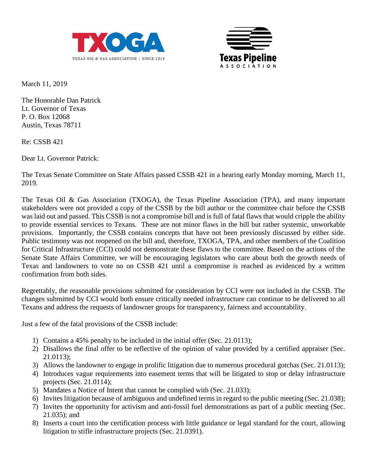



March 11, 2019

The Honorable Dan Patrick Lt. Governor of Texas P. O. Box 12068 Austin, Texas 78711

Re: CSSB 421

Dear Lt. Governor Patrick:

The Texas Senate Committee on State Affairs passed CSSB 421 in a hearing early Monday morning, March 11, 2019.

The Texas Oil & Gas Association (TXOGA), the Texas Pipeline Association (TPA), and many important stakeholders were not provided a copy of the CSSB by the bill author or the committee chair before the CSSB was laid out and passed. This CSSB is not a compromise bill and is full of fatal flaws that would cripple the ability to provide essential services to Texans. These are not minor flaws in the bill but rather systemic, unworkable provisions. Importantly, the CSSB contains concepts that have not been previously discussed by either side. Public testimony was not reopened on the bill and, therefore, TXOGA, TPA, and other members of the Coalition for Critical Infrastructure (CCI) could not demonstrate these flaws to the committee. Based on the actions of the Senate State Affairs Committee, we will be encouraging legislators who care about both the growth needs of Texas and landowners to vote no on CSSB 421 until a compromise is reached as evidenced by a written confirmation from both sides.

Regrettably, the reasonable provisions submitted for consideration by CCI were not included in the CSSB. The changes submitted by CCI would both ensure critically needed infrastructure can continue to be delivered to all Texans and address the requests of landowner groups for transparency, fairness and accountability.

Just a few of the fatal provisions of the CSSB include:

- 1) Contains a 45% penalty to be included in the initial offer (Sec. 21.0113);
- 2) Disallows the final offer to be reflective of the opinion of value provided by a certified appraiser (Sec. 21.0113);
- 3) Allows the landowner to engage in prolific litigation due to numerous procedural gotchas (Sec. 21.0113);
- 4) Introduces vague requirements into easement terms that will be litigated to stop or delay infrastructure projects (Sec. 21.0114);
- 5) Mandates a Notice of Intent that cannot be complied with (Sec. 21.033);
- 6) Invites litigation because of ambiguous and undefined terms in regard to the public meeting (Sec. 21.038);
- 7) Invites the opportunity for activism and anti-fossil fuel demonstrations as part of a public meeting (Sec. 21.035); and
- 8) Inserts a court into the certification process with little guidance or legal standard for the court, allowing litigation to stifle infrastructure projects (Sec. 21.0391).